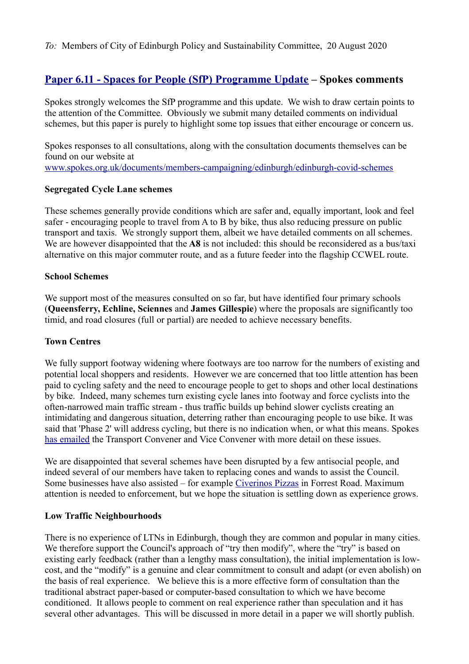*To:* Members of City of Edinburgh Policy and Sustainability Committee, 20 August 2020

# **[Paper 6.11 - Spaces for People \(SfP\) Programme Update](https://democracy.edinburgh.gov.uk/documents/s25364/Item%206.11%20-%20SfP%20Programme%20Update.pdf) – Spokes comments**

Spokes strongly welcomes the SfP programme and this update. We wish to draw certain points to the attention of the Committee. Obviously we submit many detailed comments on individual schemes, but this paper is purely to highlight some top issues that either encourage or concern us.

Spokes responses to all consultations, along with the consultation documents themselves can be found on our website at [www.spokes.org.uk/documents/members-campaigning/edinburgh/edinburgh-covid-schemes](http://www.spokes.org.uk/documents/members-campaigning/edinburgh/edinburgh-covid-schemes)

#### **Segregated Cycle Lane schemes**

These schemes generally provide conditions which are safer and, equally important, look and feel safer - encouraging people to travel from A to B by bike, thus also reducing pressure on public transport and taxis. We strongly support them, albeit we have detailed comments on all schemes. We are however disappointed that the **A8** is not included: this should be reconsidered as a bus/taxi alternative on this major commuter route, and as a future feeder into the flagship CCWEL route.

#### **School Schemes**

We support most of the measures consulted on so far, but have identified four primary schools (**Queensferry, Echline, Sciennes** and **James Gillespie**) where the proposals are significantly too timid, and road closures (full or partial) are needed to achieve necessary benefits.

## **Town Centres**

We fully support footway widening where footways are too narrow for the numbers of existing and potential local shoppers and residents. However we are concerned that too little attention has been paid to cycling safety and the need to encourage people to get to shops and other local destinations by bike. Indeed, many schemes turn existing cycle lanes into footway and force cyclists into the often-narrowed main traffic stream - thus traffic builds up behind slower cyclists creating an intimidating and dangerous situation, deterring rather than encouraging people to use bike. It was said that 'Phase 2' will address cycling, but there is no indication when, or what this means. Spokes [has emailed](http://www.spokes.org.uk/wp-content/uploads/2020/07/2007-concern-re-town-centres.pdf) the Transport Convener and Vice Convener with more detail on these issues.

We are disappointed that several schemes have been disrupted by a few antisocial people, and indeed several of our members have taken to replacing cones and wands to assist the Council. Some businesses have also assisted – for example [Civerinos Pizzas](https://twitter.com/civerinos_slice/status/1279026785234149376) in Forrest Road. Maximum attention is needed to enforcement, but we hope the situation is settling down as experience grows.

## **Low Traffic Neighbourhoods**

There is no experience of LTNs in Edinburgh, though they are common and popular in many cities. We therefore support the Council's approach of "try then modify", where the "try" is based on existing early feedback (rather than a lengthy mass consultation), the initial implementation is lowcost, and the "modify" is a genuine and clear commitment to consult and adapt (or even abolish) on the basis of real experience. We believe this is a more effective form of consultation than the traditional abstract paper-based or computer-based consultation to which we have become conditioned. It allows people to comment on real experience rather than speculation and it has several other advantages. This will be discussed in more detail in a paper we will shortly publish.